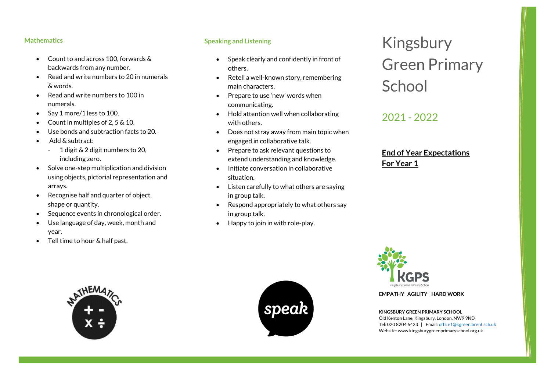### **Mathematics**

- Count to and across 100, forwards & backwards from any number.
- Read and write numbers to 20 in numerals & words.
- Read and write numbers to 100 in numerals.
- Say 1 more/1 less to 100.
- Count in multiples of 2, 5 & 10.
- Use bonds and subtraction facts to 20.
- Add & subtract:
	- 1 digit & 2 digit numbers to 20, including zero.
- Solve one-step multiplication and division using objects, pictorial representation and arrays.
- Recognise half and quarter of object, shape or quantity.
- Sequence events in chronological order.
- Use language of day, week, month and year.
- Tell time to hour & half past.

## **Speaking and Listening**

- Speak clearly and confidently in front of others.
- Retell a well-known story, remembering main characters.
- Prepare to use 'new' words when communicating.
- Hold attention well when collaborating with others.
- Does not stray away from main topic when engaged in collaborative talk.
- Prepare to ask relevant questions to extend understanding and knowledge.
- Initiate conversation in collaborative situation.
- Listen carefully to what others are saying in group talk.
- Respond appropriately to what others say in group talk.
- Happy to join in with role-play.

# Kingsbury Green Primary **School**

## 2021 - 2022

## **End of Year Expectations For Year 1**



**EMPATHY AGILITY HARD WORK**

**KINGSBURY GREEN PRIMARY SCHOOL** Old Kenton Lane, Kingsbury, London, NW9 9ND Tel: 020 8204 6423 | Email[: office1@kgreen.brent.sch.uk](mailto:office1@kgreen.brent.sch.uk) Website: www.kingsburygreenprimaryschool.org.uk